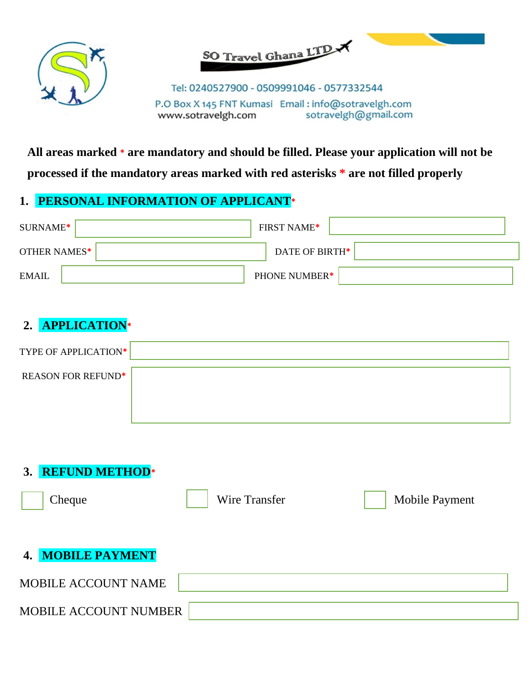



Tel: 0240527900 - 0509991046 - 0577332544 P.O Box X 145 FNT Kumasi Email: info@sotravelgh.com sotravelgh@gmail.com www.sotravelgh.com

**All areas marked \* are mandatory and should be filled. Please your application will not be** 

**processed if the mandatory areas marked with red asterisks \* are not filled properly**

## **1. PERSONAL INFORMATION OF APPLICANT\***

| SURNAME*     | <b>FIRST NAME*</b>   |
|--------------|----------------------|
| OTHER NAMES* | DATE OF BIRTH*       |
| EMAIL        | <b>PHONE NUMBER*</b> |

# **2. APPLICATION\***

| <b>TYPE OF APPLICATION*</b> |  |
|-----------------------------|--|
| <b>REASON FOR REFUND*</b>   |  |
|                             |  |
|                             |  |

**3. REFUND METHOD\***

**Cheque** Mobile Payment **4. MOBILE PAYMENT** MOBILE ACCOUNT NAME MOBILE ACCOUNT NUMBER